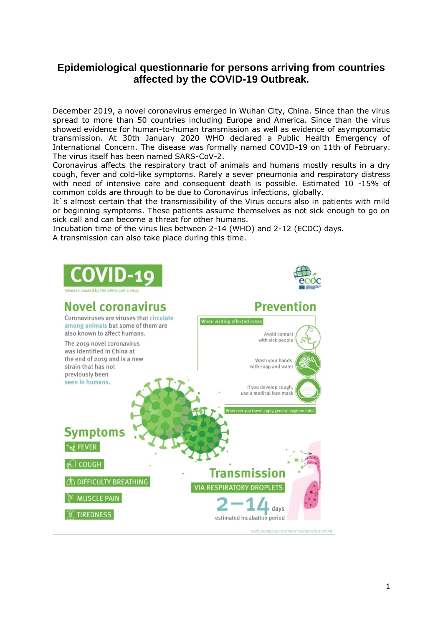## **Epidemiological questionnarie for persons arriving from countries affected by the COVID-19 Outbreak.**

December 2019, a novel coronavirus emerged in Wuhan City, China. Since than the virus spread to more than 50 countries including Europe and America. Since than the virus showed evidence for human-to-human transmission as well as evidence of asymptomatic transmission. At 30th January 2020 WHO declared a Public Health Emergency of International Concern. The disease was formally named COVID-19 on 11th of February. The virus itself has been named SARS-CoV-2.

Coronavirus affects the respiratory tract of animals and humans mostly results in a dry cough, fever and cold-like symptoms. Rarely a sever pneumonia and respiratory distress with need of intensive care and consequent death is possible. Estimated 10 -15% of common colds are through to be due to Coronavirus infections, globally.

It's almost certain that the transmissibility of the Virus occurs also in patients with mild or beginning symptoms. These patients assume themselves as not sick enough to go on sick call and can become a threat for other humans.

Incubation time of the virus lies between 2-14 (WHO) and 2-12 (ECDC) days. A transmission can also take place during this time.

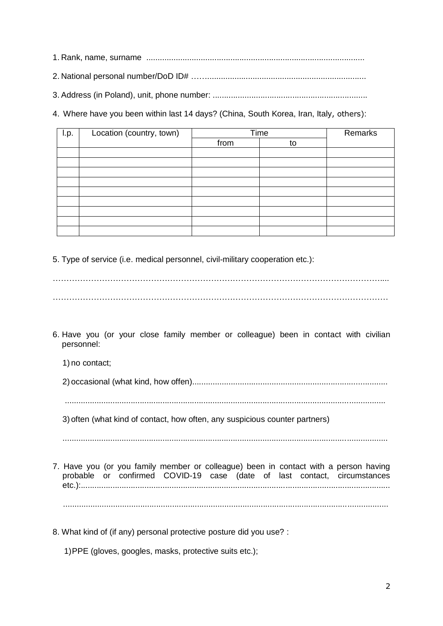1. Rank, name, surname ................................................................................................

2. National personal number/DoD ID# ……......................................................................

3. Address (in Poland), unit, phone number: ....................................................................

4. Where have you been within last 14 days? (China, South Korea, Iran, Italy, others):

| I.p. | Location (country, town) | Time |    | Remarks |
|------|--------------------------|------|----|---------|
|      |                          | from | to |         |
|      |                          |      |    |         |
|      |                          |      |    |         |
|      |                          |      |    |         |
|      |                          |      |    |         |
|      |                          |      |    |         |
|      |                          |      |    |         |
|      |                          |      |    |         |
|      |                          |      |    |         |
|      |                          |      |    |         |

5. Type of service (i.e. medical personnel, civil-military cooperation etc.):

………………………………………………………………………………………………………….... ……………………………………………………………………………………………………………

6. Have you (or your close family member or colleague) been in contact with civilian personnel:

1) no contact;

2) occasional (what kind, how offen)......................................................................................

.............................................................................................................................................

3) often (what kind of contact, how often, any suspicious counter partners)

...............................................................................................................................................

- 7. Have you (or you family member or colleague) been in contact with a person having probable or confirmed COVID-19 case (date of last contact, circumstances etc.):........................................................................................................................................ ...............................................................................................................................................
- 8. What kind of (if any) personal protective posture did you use? :

1)PPE (gloves, googles, masks, protective suits etc.);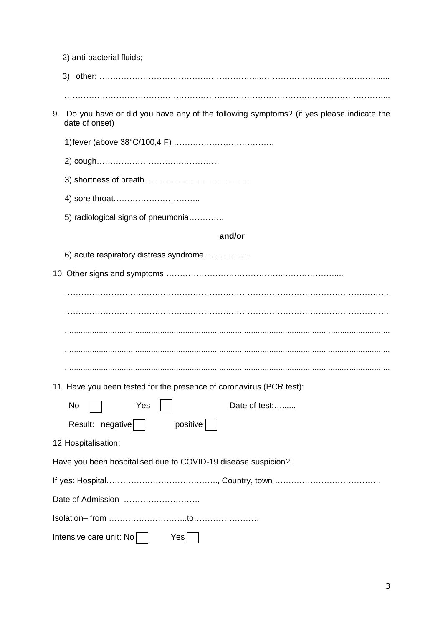|  |                                                                                                             | 2) anti-bacterial fluids;                                            |  |  |  |
|--|-------------------------------------------------------------------------------------------------------------|----------------------------------------------------------------------|--|--|--|
|  |                                                                                                             |                                                                      |  |  |  |
|  | 9. Do you have or did you have any of the following symptoms? (if yes please indicate the<br>date of onset) |                                                                      |  |  |  |
|  |                                                                                                             |                                                                      |  |  |  |
|  |                                                                                                             |                                                                      |  |  |  |
|  |                                                                                                             |                                                                      |  |  |  |
|  |                                                                                                             |                                                                      |  |  |  |
|  |                                                                                                             | 5) radiological signs of pneumonia                                   |  |  |  |
|  |                                                                                                             | and/or                                                               |  |  |  |
|  |                                                                                                             | 6) acute respiratory distress syndrome                               |  |  |  |
|  |                                                                                                             |                                                                      |  |  |  |
|  |                                                                                                             |                                                                      |  |  |  |
|  |                                                                                                             |                                                                      |  |  |  |
|  |                                                                                                             |                                                                      |  |  |  |
|  |                                                                                                             |                                                                      |  |  |  |
|  |                                                                                                             |                                                                      |  |  |  |
|  |                                                                                                             | 11. Have you been tested for the presence of coronavirus (PCR test): |  |  |  |
|  | No                                                                                                          | Date of test:<br>Yes                                                 |  |  |  |
|  |                                                                                                             | Result: negative<br>positive                                         |  |  |  |
|  |                                                                                                             | 12. Hospitalisation:                                                 |  |  |  |
|  |                                                                                                             | Have you been hospitalised due to COVID-19 disease suspicion?:       |  |  |  |
|  |                                                                                                             |                                                                      |  |  |  |
|  |                                                                                                             |                                                                      |  |  |  |
|  |                                                                                                             |                                                                      |  |  |  |
|  |                                                                                                             | Intensive care unit: No<br>Yes                                       |  |  |  |